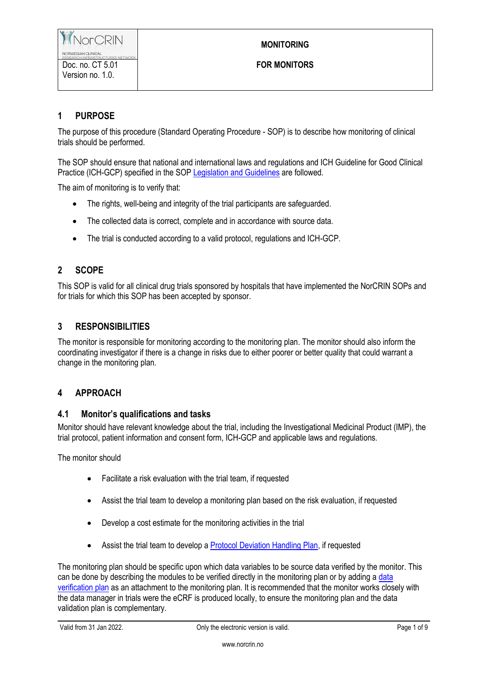# **MONITORING**

# **1 PURPOSE**

The purpose of this procedure (Standard Operating Procedure - SOP) is to describe how monitoring of clinical trials should be performed.

The SOP should ensure that national and international laws and regulations and ICH Guideline for Good Clinical Practice (ICH-GCP) specified in the SOP [Legislation and Guidelines](https://www.norcrin.no/documents/2022/01/ct-1-02-legislation-and-guidelines.docx/) are followed.

The aim of monitoring is to verify that:

- The rights, well-being and integrity of the trial participants are safeguarded.
- The collected data is correct, complete and in accordance with source data.
- The trial is conducted according to a valid protocol, regulations and ICH-GCP.

# **2 SCOPE**

This SOP is valid for all clinical drug trials sponsored by hospitals that have implemented the NorCRIN SOPs and for trials for which this SOP has been accepted by sponsor.

### **3 RESPONSIBILITIES**

The monitor is responsible for monitoring according to the monitoring plan. The monitor should also inform the coordinating investigator if there is a change in risks due to either poorer or better quality that could warrant a change in the monitoring plan.

## **4 APPROACH**

#### **4.1 Monitor's qualifications and tasks**

Monitor should have relevant knowledge about the trial, including the Investigational Medicinal Product (IMP), the trial protocol, patient information and consent form, ICH-GCP and applicable laws and regulations.

The monitor should

- Facilitate a risk evaluation with the trial team, if requested
- Assist the trial team to develop a monitoring plan based on the risk evaluation, if requested
- Develop a cost estimate for the monitoring activities in the trial
- Assist the trial team to develop [a Protocol Deviation Handling Plan,](https://www.norcrin.no/documents/2022/01/ct-2-04-01-protocol-deviation-handling-plan.docx/) if requested

The monitoring plan should be specific upon which data variables to be source data verified by the monitor. This can be done by describing the modules to be verified directly in the monitoring plan or by adding a data [verification plan](https://www.norcrin.no/documents/2022/01/ct-2-13-09-data-verification-plan-template.xlsx/) as an attachment to the monitoring plan. It is recommended that the monitor works closely with the data manager in trials were the eCRF is produced locally, to ensure the monitoring plan and the data validation plan is complementary.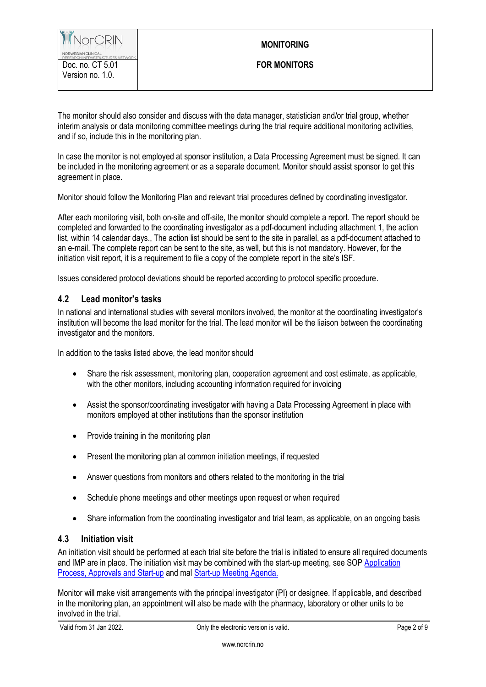The monitor should also consider and discuss with the data manager, statistician and/or trial group, whether interim analysis or data monitoring committee meetings during the trial require additional monitoring activities, and if so, include this in the monitoring plan.

In case the monitor is not employed at sponsor institution, a Data Processing Agreement must be signed. It can be included in the monitoring agreement or as a separate document. Monitor should assist sponsor to get this agreement in place.

Monitor should follow the Monitoring Plan and relevant trial procedures defined by coordinating investigator.

After each monitoring visit, both on-site and off-site, the monitor should complete a report. The report should be completed and forwarded to the coordinating investigator as a pdf-document including attachment 1, the action list, within 14 calendar days., The action list should be sent to the site in parallel, as a pdf-document attached to an e-mail. The complete report can be sent to the site, as well, but this is not mandatory. However, for the initiation visit report, it is a requirement to file a copy of the complete report in the site's ISF.

Issues considered protocol deviations should be reported according to protocol specific procedure.

### **4.2 Lead monitor's tasks**

In national and international studies with several monitors involved, the monitor at the coordinating investigator's institution will become the lead monitor for the trial. The lead monitor will be the liaison between the coordinating investigator and the monitors.

In addition to the tasks listed above, the lead monitor should

- Share the risk assessment, monitoring plan, cooperation agreement and cost estimate, as applicable, with the other monitors, including accounting information required for invoicing
- Assist the sponsor/coordinating investigator with having a Data Processing Agreement in place with monitors employed at other institutions than the sponsor institution
- Provide training in the monitoring plan
- Present the monitoring plan at common initiation meetings, if requested
- Answer questions from monitors and others related to the monitoring in the trial
- Schedule phone meetings and other meetings upon request or when required
- Share information from the coordinating investigator and trial team, as applicable, on an ongoing basis

#### **4.3 Initiation visit**

An initiation visit should be performed at each trial site before the trial is initiated to ensure all required documents and IMP are in place. The initiation visit may be combined with the start-up meeting, see SOP [Application](https://www.norcrin.no/documents/2022/01/ct-2-08-application-process-approvals-and-start-up.docx/)  [Process, Approvals and Start-up](https://www.norcrin.no/documents/2022/01/ct-2-08-application-process-approvals-and-start-up.docx/) and mal [Start-up Meeting Agenda.](https://www.norcrin.no/documents/2021/12/ct-2-08-01-start-up-meeting-agenda.docx/)

Monitor will make visit arrangements with the principal investigator (PI) or designee. If applicable, and described in the monitoring plan, an appointment will also be made with the pharmacy, laboratory or other units to be involved in the trial.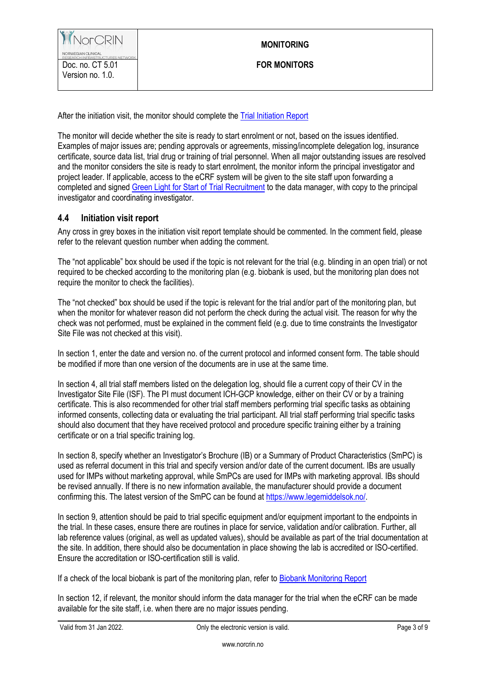After the initiation visit, the monitor should complete th[e Trial Initiation Report](https://www.norcrin.no/documents/2022/01/ct-2-13-01-trial-initiation-report.docx/)

The monitor will decide whether the site is ready to start enrolment or not, based on the issues identified. Examples of major issues are; pending approvals or agreements, missing/incomplete delegation log, insurance certificate, source data list, trial drug or training of trial personnel. When all major outstanding issues are resolved and the monitor considers the site is ready to start enrolment, the monitor inform the principal investigator and project leader. If applicable, access to the eCRF system will be given to the site staff upon forwarding a completed and signe[d Green Light for Start of Trial Recruitment](https://www.norcrin.no/documents/2022/01/ct-2-13-07-green-light-for-start-of-trial-recruitment.doc/) to the data manager, with copy to the principal investigator and coordinating investigator.

#### **4.4 Initiation visit report**

Any cross in grey boxes in the initiation visit report template should be commented. In the comment field, please refer to the relevant question number when adding the comment.

The "not applicable" box should be used if the topic is not relevant for the trial (e.g. blinding in an open trial) or not required to be checked according to the monitoring plan (e.g. biobank is used, but the monitoring plan does not require the monitor to check the facilities).

The "not checked" box should be used if the topic is relevant for the trial and/or part of the monitoring plan, but when the monitor for whatever reason did not perform the check during the actual visit. The reason for why the check was not performed, must be explained in the comment field (e.g. due to time constraints the Investigator Site File was not checked at this visit).

In section 1, enter the date and version no. of the current protocol and informed consent form. The table should be modified if more than one version of the documents are in use at the same time.

In section 4, all trial staff members listed on the delegation log, should file a current copy of their CV in the Investigator Site File (ISF). The PI must document ICH-GCP knowledge, either on their CV or by a training certificate. This is also recommended for other trial staff members performing trial specific tasks as obtaining informed consents, collecting data or evaluating the trial participant. All trial staff performing trial specific tasks should also document that they have received protocol and procedure specific training either by a training certificate or on a trial specific training log.

In section 8, specify whether an Investigator's Brochure (IB) or a Summary of Product Characteristics (SmPC) is used as referral document in this trial and specify version and/or date of the current document. IBs are usually used for IMPs without marketing approval, while SmPCs are used for IMPs with marketing approval. IBs should be revised annually. If there is no new information available, the manufacturer should provide a document confirming this. The latest version of the SmPC can be found at [https://www.legemiddelsok.no/.](https://www.legemiddelsok.no/)

In section 9, attention should be paid to trial specific equipment and/or equipment important to the endpoints in the trial. In these cases, ensure there are routines in place for service, validation and/or calibration. Further, all lab reference values (original, as well as updated values), should be available as part of the trial documentation at the site. In addition, there should also be documentation in place showing the lab is accredited or ISO-certified. Ensure the accreditation or ISO-certification still is valid.

If a check of the local biobank is part of the monitoring plan, refer to [Biobank Monitoring Report](https://www.norcrin.no/documents/2022/01/ct-2-13-04-biobank-monitoring-report.docx/)

In section 12, if relevant, the monitor should inform the data manager for the trial when the eCRF can be made available for the site staff, i.e. when there are no major issues pending.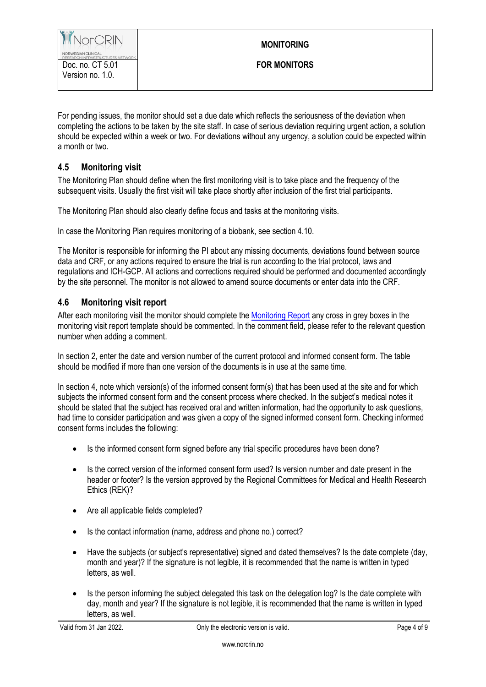For pending issues, the monitor should set a due date which reflects the seriousness of the deviation when completing the actions to be taken by the site staff. In case of serious deviation requiring urgent action, a solution should be expected within a week or two. For deviations without any urgency, a solution could be expected within a month or two.

## **4.5 Monitoring visit**

The Monitoring Plan should define when the first monitoring visit is to take place and the frequency of the subsequent visits. Usually the first visit will take place shortly after inclusion of the first trial participants.

The Monitoring Plan should also clearly define focus and tasks at the monitoring visits.

In case the Monitoring Plan requires monitoring of a biobank, see section 4.10.

The Monitor is responsible for informing the PI about any missing documents, deviations found between source data and CRF, or any actions required to ensure the trial is run according to the trial protocol, laws and regulations and ICH-GCP. All actions and corrections required should be performed and documented accordingly by the site personnel. The monitor is not allowed to amend source documents or enter data into the CRF.

### **4.6 Monitoring visit report**

After each monitoring visit the monitor should complete the [Monitoring Report](hhttps://www.norcrin.no/documents/2022/01/ct-2-13-02-monitoring-report.docx/) any cross in grey boxes in the monitoring visit report template should be commented. In the comment field, please refer to the relevant question number when adding a comment.

In section 2, enter the date and version number of the current protocol and informed consent form. The table should be modified if more than one version of the documents is in use at the same time.

In section 4, note which version(s) of the informed consent form(s) that has been used at the site and for which subjects the informed consent form and the consent process where checked. In the subject's medical notes it should be stated that the subject has received oral and written information, had the opportunity to ask questions, had time to consider participation and was given a copy of the signed informed consent form. Checking informed consent forms includes the following:

- Is the informed consent form signed before any trial specific procedures have been done?
- Is the correct version of the informed consent form used? Is version number and date present in the header or footer? Is the version approved by the Regional Committees for Medical and Health Research Ethics (REK)?
- Are all applicable fields completed?
- Is the contact information (name, address and phone no.) correct?
- Have the subjects (or subject's representative) signed and dated themselves? Is the date complete (day, month and year)? If the signature is not legible, it is recommended that the name is written in typed letters, as well.
- Is the person informing the subject delegated this task on the delegation log? Is the date complete with day, month and year? If the signature is not legible, it is recommended that the name is written in typed letters, as well.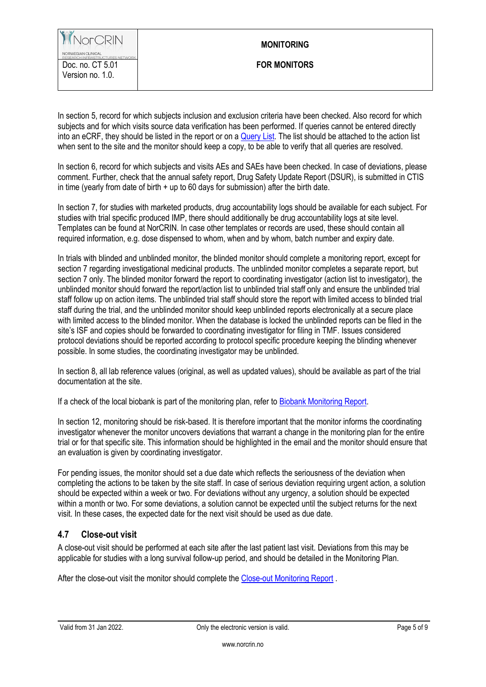#### **MONITORING**

In section 5, record for which subjects inclusion and exclusion criteria have been checked. Also record for which subjects and for which visits source data verification has been performed. If queries cannot be entered directly into an eCRF, they should be listed in the report or on a [Query List.](https://www.norcrin.no/documents/2021/12/ct-2-13-06-query-list.docx/) The list should be attached to the action list when sent to the site and the monitor should keep a copy, to be able to verify that all queries are resolved.

In section 6, record for which subjects and visits AEs and SAEs have been checked. In case of deviations, please comment. Further, check that the annual safety report, Drug Safety Update Report (DSUR), is submitted in CTIS in time (yearly from date of birth  $+$  up to 60 days for submission) after the birth date.

In section 7, for studies with marketed products, drug accountability logs should be available for each subject. For studies with trial specific produced IMP, there should additionally be drug accountability logs at site level. Templates can be found at NorCRIN. In case other templates or records are used, these should contain all required information, e.g. dose dispensed to whom, when and by whom, batch number and expiry date.

In trials with blinded and unblinded monitor, the blinded monitor should complete a monitoring report, except for section 7 regarding investigational medicinal products. The unblinded monitor completes a separate report, but section 7 only. The blinded monitor forward the report to coordinating investigator (action list to investigator), the unblinded monitor should forward the report/action list to unblinded trial staff only and ensure the unblinded trial staff follow up on action items. The unblinded trial staff should store the report with limited access to blinded trial staff during the trial, and the unblinded monitor should keep unblinded reports electronically at a secure place with limited access to the blinded monitor. When the database is locked the unblinded reports can be filed in the site's ISF and copies should be forwarded to coordinating investigator for filing in TMF. Issues considered protocol deviations should be reported according to protocol specific procedure keeping the blinding whenever possible. In some studies, the coordinating investigator may be unblinded.

In section 8, all lab reference values (original, as well as updated values), should be available as part of the trial documentation at the site.

If a check of the local biobank is part of the monitoring plan, refer to [Biobank Monitoring Report.](https://www.norcrin.no/documents/2022/01/ct-2-13-04-biobank-monitoring-report.docx/)

In section 12, monitoring should be risk-based. It is therefore important that the monitor informs the coordinating investigator whenever the monitor uncovers deviations that warrant a change in the monitoring plan for the entire trial or for that specific site. This information should be highlighted in the email and the monitor should ensure that an evaluation is given by coordinating investigator.

For pending issues, the monitor should set a due date which reflects the seriousness of the deviation when completing the actions to be taken by the site staff. In case of serious deviation requiring urgent action, a solution should be expected within a week or two. For deviations without any urgency, a solution should be expected within a month or two. For some deviations, a solution cannot be expected until the subject returns for the next visit. In these cases, the expected date for the next visit should be used as due date.

## **4.7 Close-out visit**

A close-out visit should be performed at each site after the last patient last visit. Deviations from this may be applicable for studies with a long survival follow-up period, and should be detailed in the Monitoring Plan.

After the close-out visit the monitor should complete the [Close-out Monitoring Report](https://www.norcrin.no/documents/2022/01/ct-2-13-03-close-out-monitoring-report.docx/).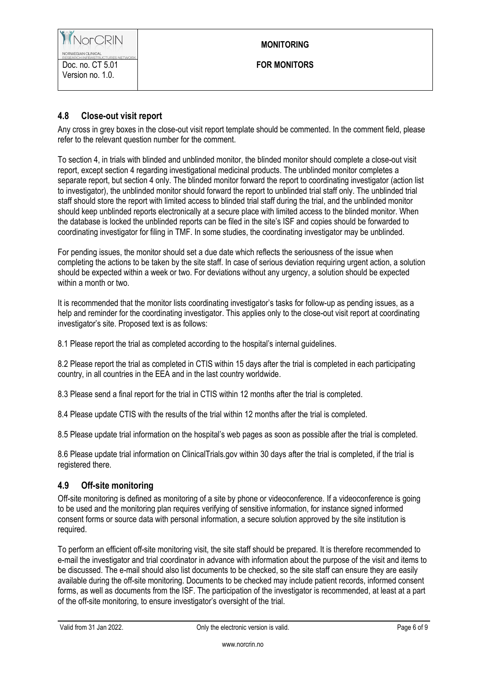### **MONITORING**

# **4.8 Close-out visit report**

Any cross in grey boxes in the close-out visit report template should be commented. In the comment field, please refer to the relevant question number for the comment.

To section 4, in trials with blinded and unblinded monitor, the blinded monitor should complete a close-out visit report, except section 4 regarding investigational medicinal products. The unblinded monitor completes a separate report, but section 4 only. The blinded monitor forward the report to coordinating investigator (action list to investigator), the unblinded monitor should forward the report to unblinded trial staff only. The unblinded trial staff should store the report with limited access to blinded trial staff during the trial, and the unblinded monitor should keep unblinded reports electronically at a secure place with limited access to the blinded monitor. When the database is locked the unblinded reports can be filed in the site's ISF and copies should be forwarded to coordinating investigator for filing in TMF. In some studies, the coordinating investigator may be unblinded.

For pending issues, the monitor should set a due date which reflects the seriousness of the issue when completing the actions to be taken by the site staff. In case of serious deviation requiring urgent action, a solution should be expected within a week or two. For deviations without any urgency, a solution should be expected within a month or two.

It is recommended that the monitor lists coordinating investigator's tasks for follow-up as pending issues, as a help and reminder for the coordinating investigator. This applies only to the close-out visit report at coordinating investigator's site. Proposed text is as follows:

8.1 Please report the trial as completed according to the hospital's internal guidelines.

8.2 Please report the trial as completed in CTIS within 15 days after the trial is completed in each participating country, in all countries in the EEA and in the last country worldwide.

8.3 Please send a final report for the trial in CTIS within 12 months after the trial is completed.

8.4 Please update CTIS with the results of the trial within 12 months after the trial is completed.

8.5 Please update trial information on the hospital's web pages as soon as possible after the trial is completed.

8.6 Please update trial information on ClinicalTrials.gov within 30 days after the trial is completed, if the trial is registered there.

## **4.9 Off-site monitoring**

Off-site monitoring is defined as monitoring of a site by phone or videoconference. If a videoconference is going to be used and the monitoring plan requires verifying of sensitive information, for instance signed informed consent forms or source data with personal information, a secure solution approved by the site institution is required.

To perform an efficient off-site monitoring visit, the site staff should be prepared. It is therefore recommended to e-mail the investigator and trial coordinator in advance with information about the purpose of the visit and items to be discussed. The e-mail should also list documents to be checked, so the site staff can ensure they are easily available during the off-site monitoring. Documents to be checked may include patient records, informed consent forms, as well as documents from the ISF. The participation of the investigator is recommended, at least at a part of the off-site monitoring, to ensure investigator's oversight of the trial.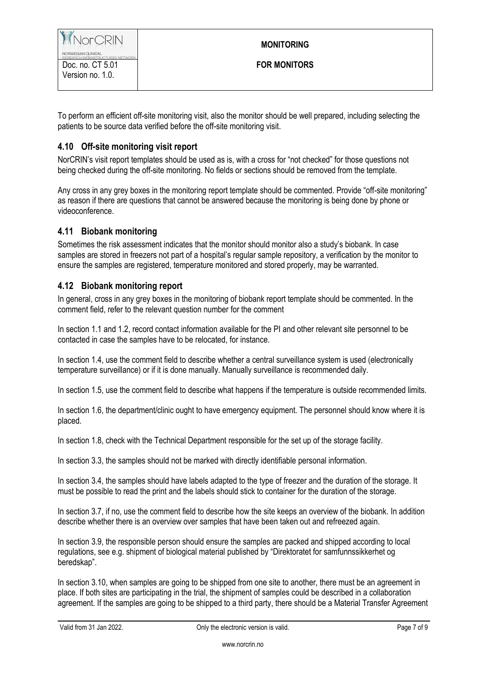## **MONITORING**

To perform an efficient off-site monitoring visit, also the monitor should be well prepared, including selecting the patients to be source data verified before the off-site monitoring visit.

# **4.10 Off-site monitoring visit report**

NorCRIN's visit report templates should be used as is, with a cross for "not checked" for those questions not being checked during the off-site monitoring. No fields or sections should be removed from the template.

Any cross in any grey boxes in the monitoring report template should be commented. Provide "off-site monitoring" as reason if there are questions that cannot be answered because the monitoring is being done by phone or videoconference.

# **4.11 Biobank monitoring**

Sometimes the risk assessment indicates that the monitor should monitor also a study's biobank. In case samples are stored in freezers not part of a hospital's regular sample repository, a verification by the monitor to ensure the samples are registered, temperature monitored and stored properly, may be warranted.

## **4.12 Biobank monitoring report**

In general, cross in any grey boxes in the monitoring of biobank report template should be commented. In the comment field, refer to the relevant question number for the comment

In section 1.1 and 1.2, record contact information available for the PI and other relevant site personnel to be contacted in case the samples have to be relocated, for instance.

In section 1.4, use the comment field to describe whether a central surveillance system is used (electronically temperature surveillance) or if it is done manually. Manually surveillance is recommended daily.

In section 1.5, use the comment field to describe what happens if the temperature is outside recommended limits.

In section 1.6, the department/clinic ought to have emergency equipment. The personnel should know where it is placed.

In section 1.8, check with the Technical Department responsible for the set up of the storage facility.

In section 3.3, the samples should not be marked with directly identifiable personal information.

In section 3.4, the samples should have labels adapted to the type of freezer and the duration of the storage. It must be possible to read the print and the labels should stick to container for the duration of the storage.

In section 3.7, if no, use the comment field to describe how the site keeps an overview of the biobank. In addition describe whether there is an overview over samples that have been taken out and refreezed again.

In section 3.9, the responsible person should ensure the samples are packed and shipped according to local regulations, see e.g. shipment of biological material published by "Direktoratet for samfunnssikkerhet og beredskap".

In section 3.10, when samples are going to be shipped from one site to another, there must be an agreement in place. If both sites are participating in the trial, the shipment of samples could be described in a collaboration agreement. If the samples are going to be shipped to a third party, there should be a Material Transfer Agreement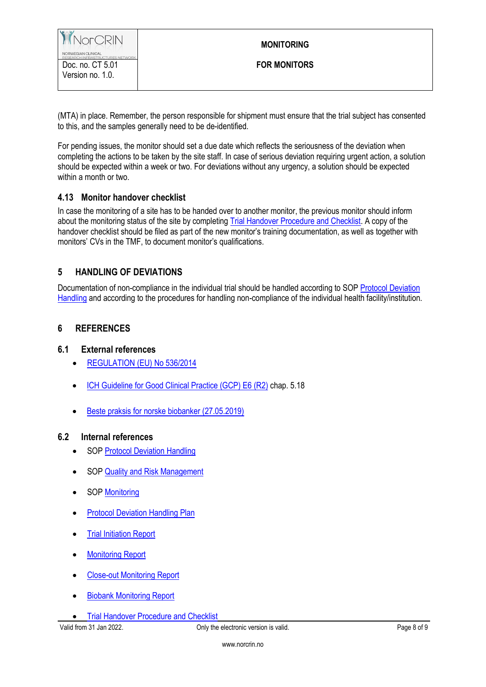(MTA) in place. Remember, the person responsible for shipment must ensure that the trial subject has consented to this, and the samples generally need to be de-identified.

For pending issues, the monitor should set a due date which reflects the seriousness of the deviation when completing the actions to be taken by the site staff. In case of serious deviation requiring urgent action, a solution should be expected within a week or two. For deviations without any urgency, a solution should be expected within a month or two.

#### **4.13 Monitor handover checklist**

In case the monitoring of a site has to be handed over to another monitor, the previous monitor should inform about the monitoring status of the site by completing [Trial Handover Procedure and Checklist.](https://www.norcrin.no/documents/2021/12/ct-2-13-05-trial-handover-procedure-and-checklist.docx/) A copy of the handover checklist should be filed as part of the new monitor's training documentation, as well as together with monitors' CVs in the TMF, to document monitor's qualifications.

# **5 HANDLING OF DEVIATIONS**

Documentation of non-compliance in the individual trial should be handled according to SOP [Protocol Deviation](https://www.norcrin.no/documents/2022/01/ct-2-04-protocol-deviation-handling.docx/)  [Handling](https://www.norcrin.no/documents/2022/01/ct-2-04-protocol-deviation-handling.docx/) and according to the procedures for handling non-compliance of the individual health facility/institution.

## **6 REFERENCES**

#### **6.1 External references**

- **[REGULATION \(EU\) No 536/2014](http://ec.europa.eu/health/sites/health/files/files/eudralex/vol-1/reg_2014_536/reg_2014_536_en.pdf)**
- [ICH Guideline for Good Clinical Practice \(GCP\) E6 \(R2\)](http://www.ema.europa.eu/docs/en_GB/document_library/Scientific_guideline/2009/09/WC500002874.pdf) chap. 5.18
- [Beste praksis for norske biobanker \(27.05.2019\)](https://bbmri.no/sites/default/files/inline-files/BBP%20med%20lenker.%202.%20utgave%20versjon%202.1_27.05.2019.pdf)

#### **6.2 Internal references**

- SOP [Protocol Deviation Handling](https://www.norcrin.no/documents/2022/01/ct-2-04-protocol-deviation-handling.docx/)
- SOP [Quality and Risk Management](https://www.norcrin.no/documents/2022/01/ct-2-02-quality-and-risk-management.docx/)
- SOP [Monitoring](https://www.norcrin.no/documents/2022/01/ct-2-13-monitoring.docx/)
- [Protocol Deviation Handling](https://www.norcrin.no/documents/2022/01/ct-2-04-01-protocol-deviation-handling-plan.docx/) Plan
- [Trial Initiation Report](https://www.norcrin.no/documents/2022/01/ct-2-13-01-trial-initiation-report.docx/)
- [Monitoring Report](https://www.norcrin.no/documents/2022/01/ct-2-13-02-monitoring-report.docx/)
- [Close-out Monitoring Report](https://www.norcrin.no/documents/2022/01/ct-2-13-03-close-out-monitoring-report.docx/)
- [Biobank Monitoring Report](https://www.norcrin.no/documents/2022/01/ct-2-13-04-biobank-monitoring-report.docx/)

**•** [Trial Handover Procedure and Checklist](https://www.norcrin.no/documents/2021/12/ct-2-13-05-trial-handover-procedure-and-checklist.docx/)